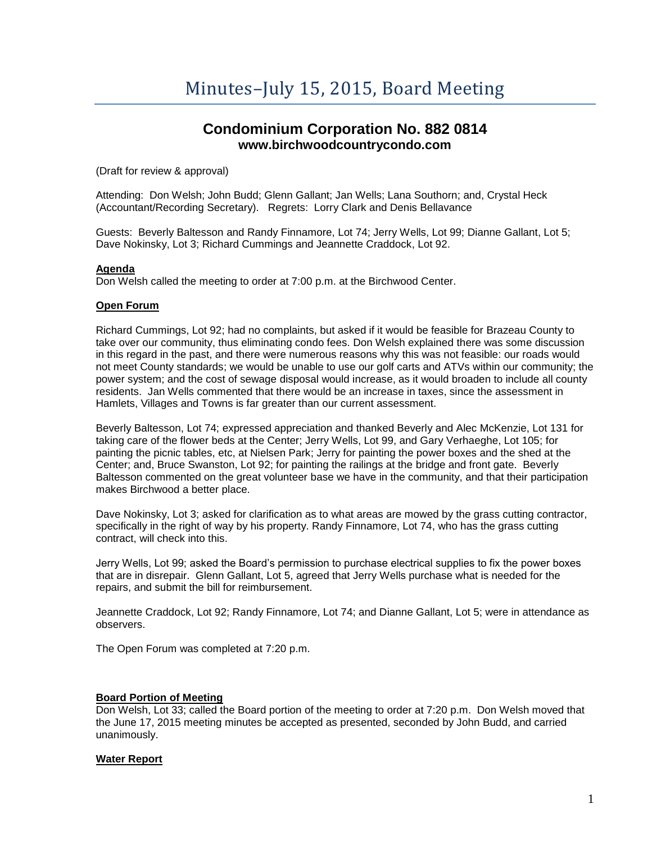# **Condominium Corporation No. 882 0814 www.birchwoodcountrycondo.com**

(Draft for review & approval)

Attending: Don Welsh; John Budd; Glenn Gallant; Jan Wells; Lana Southorn; and, Crystal Heck (Accountant/Recording Secretary). Regrets: Lorry Clark and Denis Bellavance

Guests: Beverly Baltesson and Randy Finnamore, Lot 74; Jerry Wells, Lot 99; Dianne Gallant, Lot 5; Dave Nokinsky, Lot 3; Richard Cummings and Jeannette Craddock, Lot 92.

### **Agenda**

Don Welsh called the meeting to order at 7:00 p.m. at the Birchwood Center.

### **Open Forum**

Richard Cummings, Lot 92; had no complaints, but asked if it would be feasible for Brazeau County to take over our community, thus eliminating condo fees. Don Welsh explained there was some discussion in this regard in the past, and there were numerous reasons why this was not feasible: our roads would not meet County standards; we would be unable to use our golf carts and ATVs within our community; the power system; and the cost of sewage disposal would increase, as it would broaden to include all county residents. Jan Wells commented that there would be an increase in taxes, since the assessment in Hamlets, Villages and Towns is far greater than our current assessment.

Beverly Baltesson, Lot 74; expressed appreciation and thanked Beverly and Alec McKenzie, Lot 131 for taking care of the flower beds at the Center; Jerry Wells, Lot 99, and Gary Verhaeghe, Lot 105; for painting the picnic tables, etc, at Nielsen Park; Jerry for painting the power boxes and the shed at the Center; and, Bruce Swanston, Lot 92; for painting the railings at the bridge and front gate. Beverly Baltesson commented on the great volunteer base we have in the community, and that their participation makes Birchwood a better place.

Dave Nokinsky, Lot 3; asked for clarification as to what areas are mowed by the grass cutting contractor, specifically in the right of way by his property. Randy Finnamore, Lot 74, who has the grass cutting contract, will check into this.

Jerry Wells, Lot 99; asked the Board's permission to purchase electrical supplies to fix the power boxes that are in disrepair. Glenn Gallant, Lot 5, agreed that Jerry Wells purchase what is needed for the repairs, and submit the bill for reimbursement.

Jeannette Craddock, Lot 92; Randy Finnamore, Lot 74; and Dianne Gallant, Lot 5; were in attendance as observers.

The Open Forum was completed at 7:20 p.m.

# **Board Portion of Meeting**

Don Welsh, Lot 33; called the Board portion of the meeting to order at 7:20 p.m. Don Welsh moved that the June 17, 2015 meeting minutes be accepted as presented, seconded by John Budd, and carried unanimously.

# **Water Report**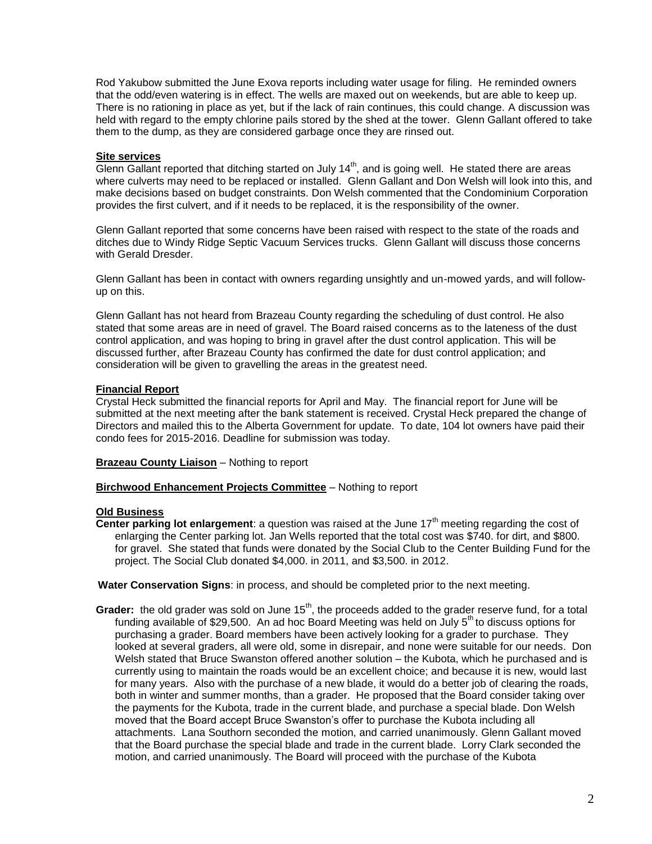Rod Yakubow submitted the June Exova reports including water usage for filing. He reminded owners that the odd/even watering is in effect. The wells are maxed out on weekends, but are able to keep up. There is no rationing in place as yet, but if the lack of rain continues, this could change. A discussion was held with regard to the empty chlorine pails stored by the shed at the tower. Glenn Gallant offered to take them to the dump, as they are considered garbage once they are rinsed out.

### **Site services**

Glenn Gallant reported that ditching started on July 14<sup>th</sup>, and is going well. He stated there are areas where culverts may need to be replaced or installed. Glenn Gallant and Don Welsh will look into this, and make decisions based on budget constraints. Don Welsh commented that the Condominium Corporation provides the first culvert, and if it needs to be replaced, it is the responsibility of the owner.

Glenn Gallant reported that some concerns have been raised with respect to the state of the roads and ditches due to Windy Ridge Septic Vacuum Services trucks. Glenn Gallant will discuss those concerns with Gerald Dresder.

Glenn Gallant has been in contact with owners regarding unsightly and un-mowed yards, and will followup on this.

Glenn Gallant has not heard from Brazeau County regarding the scheduling of dust control. He also stated that some areas are in need of gravel. The Board raised concerns as to the lateness of the dust control application, and was hoping to bring in gravel after the dust control application. This will be discussed further, after Brazeau County has confirmed the date for dust control application; and consideration will be given to gravelling the areas in the greatest need.

### **Financial Report**

Crystal Heck submitted the financial reports for April and May. The financial report for June will be submitted at the next meeting after the bank statement is received. Crystal Heck prepared the change of Directors and mailed this to the Alberta Government for update. To date, 104 lot owners have paid their condo fees for 2015-2016. Deadline for submission was today.

**Brazeau County Liaison** – Nothing to report

#### **Birchwood Enhancement Projects Committee** – Nothing to report

# **Old Business**

**Center parking lot enlargement**: a question was raised at the June 17<sup>th</sup> meeting regarding the cost of enlarging the Center parking lot. Jan Wells reported that the total cost was \$740. for dirt, and \$800. for gravel. She stated that funds were donated by the Social Club to the Center Building Fund for the project. The Social Club donated \$4,000. in 2011, and \$3,500. in 2012.

**Water Conservation Signs**: in process, and should be completed prior to the next meeting.

Grader: the old grader was sold on June 15<sup>th</sup>, the proceeds added to the grader reserve fund, for a total funding available of \$29,500. An ad hoc Board Meeting was held on July  $5<sup>th</sup>$  to discuss options for purchasing a grader. Board members have been actively looking for a grader to purchase. They looked at several graders, all were old, some in disrepair, and none were suitable for our needs. Don Welsh stated that Bruce Swanston offered another solution – the Kubota, which he purchased and is currently using to maintain the roads would be an excellent choice; and because it is new, would last for many years. Also with the purchase of a new blade, it would do a better job of clearing the roads, both in winter and summer months, than a grader. He proposed that the Board consider taking over the payments for the Kubota, trade in the current blade, and purchase a special blade. Don Welsh moved that the Board accept Bruce Swanston's offer to purchase the Kubota including all attachments. Lana Southorn seconded the motion, and carried unanimously. Glenn Gallant moved that the Board purchase the special blade and trade in the current blade. Lorry Clark seconded the motion, and carried unanimously. The Board will proceed with the purchase of the Kubota